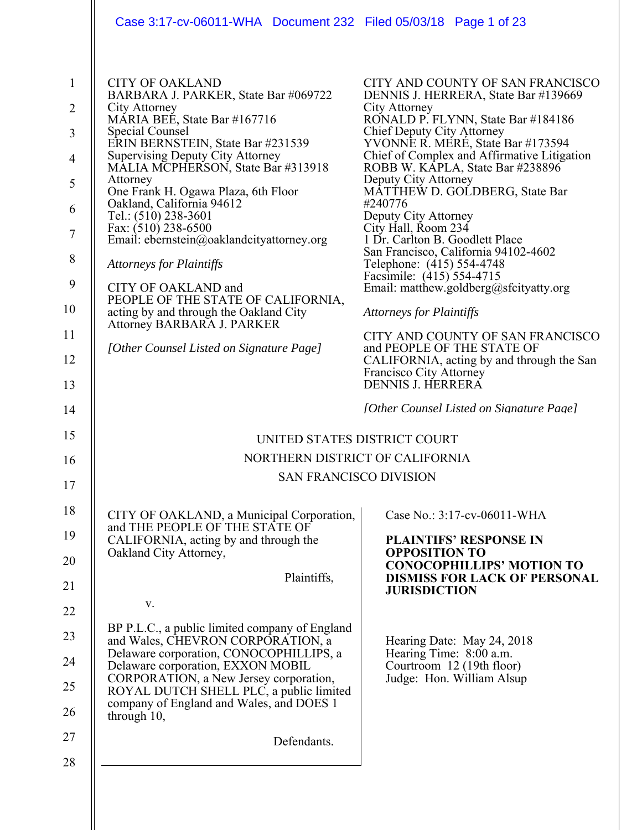| Case 3:17-cv-06011-WHA Document 232 Filed 05/03/18 Page 1 of 23                                                                                                                                                                                                                                                                                                                                                                                                                                                                                                                                                                                          |                                                                                                                                                                                                                                                                                                                                                                                                                                                                                                                                                                                                                                                                                                                                                                                            |
|----------------------------------------------------------------------------------------------------------------------------------------------------------------------------------------------------------------------------------------------------------------------------------------------------------------------------------------------------------------------------------------------------------------------------------------------------------------------------------------------------------------------------------------------------------------------------------------------------------------------------------------------------------|--------------------------------------------------------------------------------------------------------------------------------------------------------------------------------------------------------------------------------------------------------------------------------------------------------------------------------------------------------------------------------------------------------------------------------------------------------------------------------------------------------------------------------------------------------------------------------------------------------------------------------------------------------------------------------------------------------------------------------------------------------------------------------------------|
| <b>CITY OF OAKLAND</b><br>BARBARA J. PARKER, State Bar #069722<br>City Attorney<br>MÁRIA BEÉ, State Bar #167716<br>Special Counsel<br>ERIN BERNSTEIN, State Bar #231539<br><b>Supervising Deputy City Attorney</b><br>MĀLIA MCPHERSON, State Bar #313918<br>Attorney<br>One Frank H. Ogawa Plaza, 6th Floor<br>Oakland, California 94612<br>Tel.: (510) 238-3601<br>Fax: (510) 238-6500<br>Email: ebernstein@oaklandcityattorney.org<br><b>Attorneys for Plaintiffs</b><br>CITY OF OAKLAND and<br>PEOPLE OF THE STATE OF CALIFORNIA,<br>acting by and through the Oakland City<br>Attorney BARBARA J. PARKER<br>[Other Counsel Listed on Signature Page] | CITY AND COUNTY OF SAN FRANCISCO<br>DENNIS J. HERRERA, State Bar #139669<br>City Attorney<br>RONALD P. FLYNN, State Bar #184186<br>Chief Deputy City Attorney<br>YVONNE R. MERÉ, State Bar #173594<br>Chief of Complex and Affirmative Litigation<br>ROBB W. KAPLA, State Bar #238896<br>Deputy City Attorney<br>MATTHEW D. GOLDBERG, State Bar<br>#240776<br>Deputy City Attorney<br>City Hall, Room 234<br>1 Dr. Carlton B. Goodlett Place<br>San Francisco, California 94102-4602<br>Telephone: (415) 554-4748<br>Facsimile: (415) 554-4715<br>Email: matthew.goldberg@sfcityatty.org<br><b>Attorneys for Plaintiffs</b><br>CITY AND COUNTY OF SAN FRANCISCO<br>and PEOPLE OF THE STATE OF<br>CALIFORNIA, acting by and through the San<br>Francisco City Attorney<br>DENNIS J. HERRERA |
|                                                                                                                                                                                                                                                                                                                                                                                                                                                                                                                                                                                                                                                          | [Other Counsel Listed on Signature Page]<br>UNITED STATES DISTRICT COURT                                                                                                                                                                                                                                                                                                                                                                                                                                                                                                                                                                                                                                                                                                                   |
|                                                                                                                                                                                                                                                                                                                                                                                                                                                                                                                                                                                                                                                          | NORTHERN DISTRICT OF CALIFORNIA                                                                                                                                                                                                                                                                                                                                                                                                                                                                                                                                                                                                                                                                                                                                                            |
|                                                                                                                                                                                                                                                                                                                                                                                                                                                                                                                                                                                                                                                          | <b>SAN FRANCISCO DIVISION</b>                                                                                                                                                                                                                                                                                                                                                                                                                                                                                                                                                                                                                                                                                                                                                              |
| CITY OF OAKLAND, a Municipal Corporation,<br>and THE PEOPLE OF THE STATE OF<br>CALIFORNIA, acting by and through the<br>Oakland City Attorney,<br>Plaintiffs,<br>V.<br>BP P.L.C., a public limited company of England<br>and Wales, CHEVRON CORPORATION, a<br>Delaware corporation, CONOCOPHILLIPS, a<br>Delaware corporation, EXXON MOBIL<br>CORPORATION, a New Jersey corporation,<br>ROYAL DUTCH SHELL PLC, a public limited<br>company of England and Wales, and DOES 1                                                                                                                                                                              | Case No.: 3:17-cv-06011-WHA<br><b>PLAINTIFS' RESPONSE IN</b><br><b>OPPOSITION TO</b><br><b>CONOCOPHILLIPS' MOTION TO</b><br><b>DISMISS FOR LACK OF PERSONAL</b><br><b>JURISDICTION</b><br>Hearing Date: May 24, 2018<br>Hearing Time: 8:00 a.m.<br>Courtroom 12 (19th floor)<br>Judge: Hon. William Alsup                                                                                                                                                                                                                                                                                                                                                                                                                                                                                  |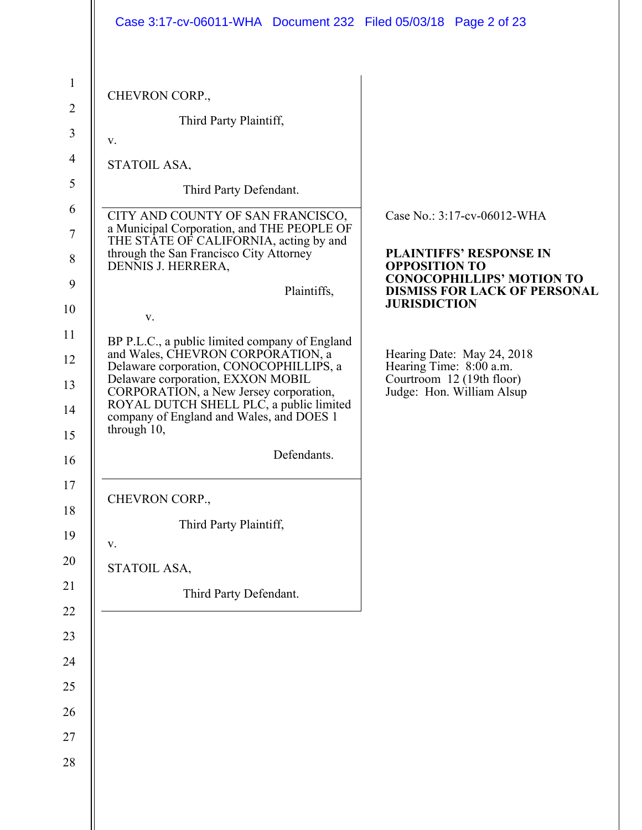| CHEVRON CORP.,<br>Third Party Plaintiff,<br>V.<br>STATOIL ASA,<br>Third Party Defendant.<br>CITY AND COUNTY OF SAN FRANCISCO,<br>Case No.: 3:17-cv-06012-WHA<br>a Municipal Corporation, and THE PEOPLE OF<br>THE STATE OF CALIFORNIA, acting by and<br>through the San Francisco City Attorney<br><b>PLAINTIFFS' RESPONSE IN</b><br>DENNIS J. HERRERA,<br><b>OPPOSITION TO</b><br><b>CONOCOPHILLIPS' MOTION TO</b><br>Plaintiffs,<br><b>DISMISS FOR LACK OF PERSONAL</b><br><b>JURISDICTION</b><br>V.<br>BP P.L.C., a public limited company of England<br>and Wales, CHEVRON CORPORATION, a<br>Hearing Date: May 24, 2018<br>Delaware corporation, CONOCOPHILLIPS, a<br>Hearing Time: 8:00 a.m.<br>Delaware corporation, EXXON MOBIL<br>Courtroom 12 (19th floor)<br>CORPORATION, a New Jersey corporation,<br>Judge: Hon. William Alsup<br>ROYAL DUTCH SHELL PLC, a public limited<br>company of England and Wales, and DOES 1<br>through 10,<br>Defendants.<br>CHEVRON CORP.,<br>Third Party Plaintiff,<br>V.<br>STATOIL ASA,<br>Third Party Defendant. | Case 3:17-cv-06011-WHA Document 232 Filed 05/03/18 Page 2 of 23 |  |
|-------------------------------------------------------------------------------------------------------------------------------------------------------------------------------------------------------------------------------------------------------------------------------------------------------------------------------------------------------------------------------------------------------------------------------------------------------------------------------------------------------------------------------------------------------------------------------------------------------------------------------------------------------------------------------------------------------------------------------------------------------------------------------------------------------------------------------------------------------------------------------------------------------------------------------------------------------------------------------------------------------------------------------------------------------------|-----------------------------------------------------------------|--|
|                                                                                                                                                                                                                                                                                                                                                                                                                                                                                                                                                                                                                                                                                                                                                                                                                                                                                                                                                                                                                                                             |                                                                 |  |
|                                                                                                                                                                                                                                                                                                                                                                                                                                                                                                                                                                                                                                                                                                                                                                                                                                                                                                                                                                                                                                                             |                                                                 |  |
|                                                                                                                                                                                                                                                                                                                                                                                                                                                                                                                                                                                                                                                                                                                                                                                                                                                                                                                                                                                                                                                             |                                                                 |  |
|                                                                                                                                                                                                                                                                                                                                                                                                                                                                                                                                                                                                                                                                                                                                                                                                                                                                                                                                                                                                                                                             |                                                                 |  |
|                                                                                                                                                                                                                                                                                                                                                                                                                                                                                                                                                                                                                                                                                                                                                                                                                                                                                                                                                                                                                                                             |                                                                 |  |
|                                                                                                                                                                                                                                                                                                                                                                                                                                                                                                                                                                                                                                                                                                                                                                                                                                                                                                                                                                                                                                                             |                                                                 |  |
|                                                                                                                                                                                                                                                                                                                                                                                                                                                                                                                                                                                                                                                                                                                                                                                                                                                                                                                                                                                                                                                             |                                                                 |  |
|                                                                                                                                                                                                                                                                                                                                                                                                                                                                                                                                                                                                                                                                                                                                                                                                                                                                                                                                                                                                                                                             |                                                                 |  |
|                                                                                                                                                                                                                                                                                                                                                                                                                                                                                                                                                                                                                                                                                                                                                                                                                                                                                                                                                                                                                                                             |                                                                 |  |
|                                                                                                                                                                                                                                                                                                                                                                                                                                                                                                                                                                                                                                                                                                                                                                                                                                                                                                                                                                                                                                                             |                                                                 |  |
|                                                                                                                                                                                                                                                                                                                                                                                                                                                                                                                                                                                                                                                                                                                                                                                                                                                                                                                                                                                                                                                             |                                                                 |  |
|                                                                                                                                                                                                                                                                                                                                                                                                                                                                                                                                                                                                                                                                                                                                                                                                                                                                                                                                                                                                                                                             |                                                                 |  |
|                                                                                                                                                                                                                                                                                                                                                                                                                                                                                                                                                                                                                                                                                                                                                                                                                                                                                                                                                                                                                                                             |                                                                 |  |
|                                                                                                                                                                                                                                                                                                                                                                                                                                                                                                                                                                                                                                                                                                                                                                                                                                                                                                                                                                                                                                                             |                                                                 |  |
|                                                                                                                                                                                                                                                                                                                                                                                                                                                                                                                                                                                                                                                                                                                                                                                                                                                                                                                                                                                                                                                             |                                                                 |  |
|                                                                                                                                                                                                                                                                                                                                                                                                                                                                                                                                                                                                                                                                                                                                                                                                                                                                                                                                                                                                                                                             |                                                                 |  |
|                                                                                                                                                                                                                                                                                                                                                                                                                                                                                                                                                                                                                                                                                                                                                                                                                                                                                                                                                                                                                                                             |                                                                 |  |
|                                                                                                                                                                                                                                                                                                                                                                                                                                                                                                                                                                                                                                                                                                                                                                                                                                                                                                                                                                                                                                                             |                                                                 |  |
|                                                                                                                                                                                                                                                                                                                                                                                                                                                                                                                                                                                                                                                                                                                                                                                                                                                                                                                                                                                                                                                             |                                                                 |  |
|                                                                                                                                                                                                                                                                                                                                                                                                                                                                                                                                                                                                                                                                                                                                                                                                                                                                                                                                                                                                                                                             |                                                                 |  |
|                                                                                                                                                                                                                                                                                                                                                                                                                                                                                                                                                                                                                                                                                                                                                                                                                                                                                                                                                                                                                                                             |                                                                 |  |
|                                                                                                                                                                                                                                                                                                                                                                                                                                                                                                                                                                                                                                                                                                                                                                                                                                                                                                                                                                                                                                                             |                                                                 |  |
|                                                                                                                                                                                                                                                                                                                                                                                                                                                                                                                                                                                                                                                                                                                                                                                                                                                                                                                                                                                                                                                             |                                                                 |  |
|                                                                                                                                                                                                                                                                                                                                                                                                                                                                                                                                                                                                                                                                                                                                                                                                                                                                                                                                                                                                                                                             |                                                                 |  |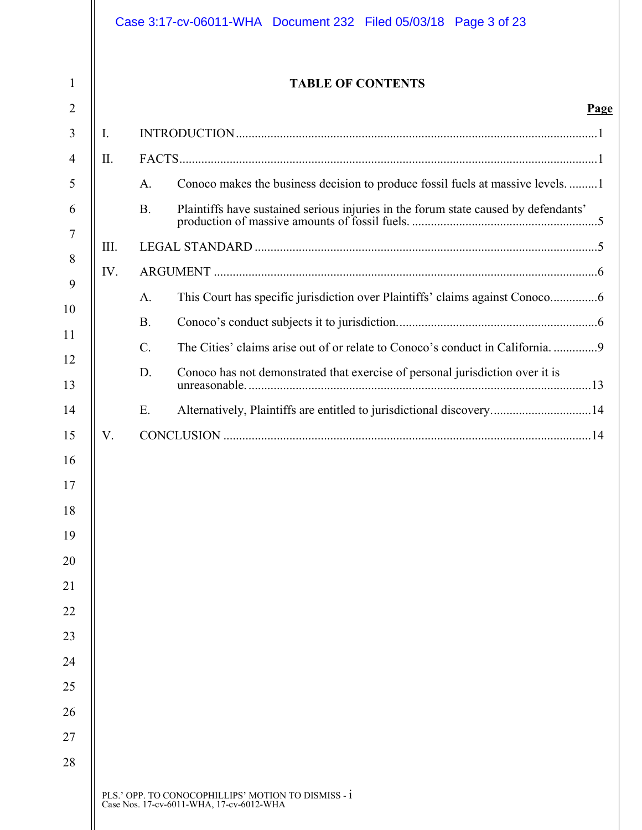|                 | <b>TABLE OF CONTENTS</b>                                                            |
|-----------------|-------------------------------------------------------------------------------------|
| Ι.              |                                                                                     |
| II.             |                                                                                     |
| A.              | Conoco makes the business decision to produce fossil fuels at massive levels1       |
| <b>B.</b>       | Plaintiffs have sustained serious injuries in the forum state caused by defendants' |
| III.            |                                                                                     |
| IV.             |                                                                                     |
| A.              |                                                                                     |
| <b>B.</b>       |                                                                                     |
| $\mathcal{C}$ . | The Cities' claims arise out of or relate to Conoco's conduct in California         |
| D.              | Conoco has not demonstrated that exercise of personal jurisdiction over it is       |
| E.              | Alternatively, Plaintiffs are entitled to jurisdictional discovery14                |
|                 |                                                                                     |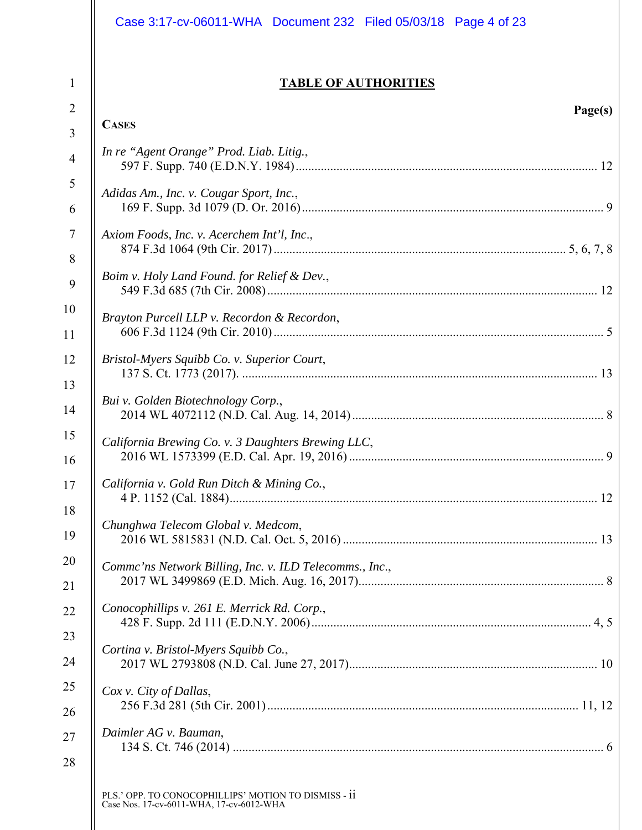|                | Case 3:17-cv-06011-WHA  Document 232  Filed 05/03/18  Page 4 of 23                               |
|----------------|--------------------------------------------------------------------------------------------------|
| $\mathbf{1}$   | <b>TABLE OF AUTHORITIES</b>                                                                      |
| $\overline{2}$ | Page(s)                                                                                          |
| 3              | <b>CASES</b>                                                                                     |
| $\overline{4}$ | In re "Agent Orange" Prod. Liab. Litig.,                                                         |
| 5              | Adidas Am., Inc. v. Cougar Sport, Inc.,                                                          |
| 6              |                                                                                                  |
| $\overline{7}$ | Axiom Foods, Inc. v. Acerchem Int'l, Inc.,                                                       |
| 8              |                                                                                                  |
| 9              | Boim v. Holy Land Found. for Relief & Dev.,                                                      |
| 10             | Brayton Purcell LLP v. Recordon & Recordon,                                                      |
| 11             |                                                                                                  |
| 12             | Bristol-Myers Squibb Co. v. Superior Court,                                                      |
| 13             |                                                                                                  |
| 14             | Bui v. Golden Biotechnology Corp.,                                                               |
| 15<br>16       | California Brewing Co. v. 3 Daughters Brewing LLC,                                               |
| 17<br>18       | California v. Gold Run Ditch & Mining Co.,                                                       |
| 19             | Chunghwa Telecom Global v. Medcom,                                                               |
| 20<br>21       | Commc'ns Network Billing, Inc. v. ILD Telecomms., Inc.,                                          |
| 22             | Conocophillips v. 261 E. Merrick Rd. Corp.,                                                      |
| 23<br>24       | Cortina v. Bristol-Myers Squibb Co.,                                                             |
| 25             | Cox v. City of Dallas,                                                                           |
| 26             |                                                                                                  |
| 27             | Daimler AG v. Bauman,                                                                            |
| 28             | PLS.' OPP. TO CONOCOPHILLIPS' MOTION TO DISMISS - ii<br>Case Nos. 17-cv-6011-WHA, 17-cv-6012-WHA |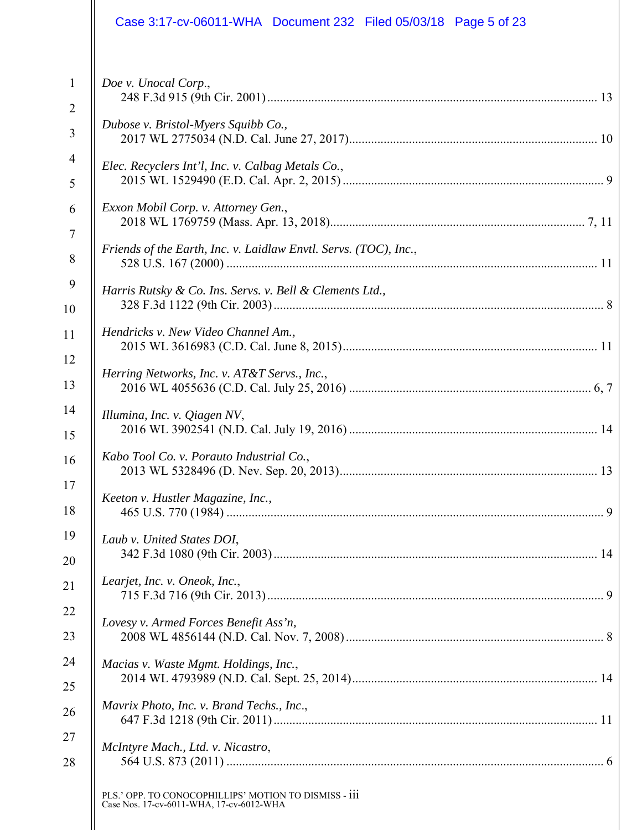|                | Case 3:17-cv-06011-WHA  Document 232  Filed 05/03/18  Page 5 of 23                                |
|----------------|---------------------------------------------------------------------------------------------------|
| $\mathbf{1}$   | Doe v. Unocal Corp.,                                                                              |
| $\overline{2}$ |                                                                                                   |
| 3              | Dubose v. Bristol-Myers Squibb Co.,                                                               |
| $\overline{4}$ | Elec. Recyclers Int'l, Inc. v. Calbag Metals Co.,                                                 |
| 5              |                                                                                                   |
| 6              | Exxon Mobil Corp. v. Attorney Gen.,                                                               |
| $\tau$         |                                                                                                   |
| 8              | Friends of the Earth, Inc. v. Laidlaw Envtl. Servs. (TOC), Inc.,                                  |
| 9              | Harris Rutsky & Co. Ins. Servs. v. Bell & Clements Ltd.,                                          |
| 10             |                                                                                                   |
| 11             | Hendricks v. New Video Channel Am.,                                                               |
| 12             | Herring Networks, Inc. v. AT&T Servs., Inc.,                                                      |
| 13             |                                                                                                   |
| 14             | Illumina, Inc. v. Qiagen NV,                                                                      |
| 15             |                                                                                                   |
| 16             | Kabo Tool Co. v. Porauto Industrial Co.,                                                          |
| 17             | Keeton v. Hustler Magazine, Inc.,                                                                 |
| 18             |                                                                                                   |
| 19             | Laub v. United States DOI,                                                                        |
| 20             |                                                                                                   |
| 21             | Learjet, Inc. v. Oneok, Inc.,                                                                     |
| 22             | Lovesy v. Armed Forces Benefit Ass'n,                                                             |
| 23             |                                                                                                   |
| 24             | Macias v. Waste Mgmt. Holdings, Inc.,                                                             |
| 25             |                                                                                                   |
| 26             | Mavrix Photo, Inc. v. Brand Techs., Inc.,                                                         |
| 27             | McIntyre Mach., Ltd. v. Nicastro,                                                                 |
| 28             |                                                                                                   |
|                | PLS.' OPP. TO CONOCOPHILLIPS' MOTION TO DISMISS - iii<br>Case Nos. 17-cv-6011-WHA, 17-cv-6012-WHA |
|                |                                                                                                   |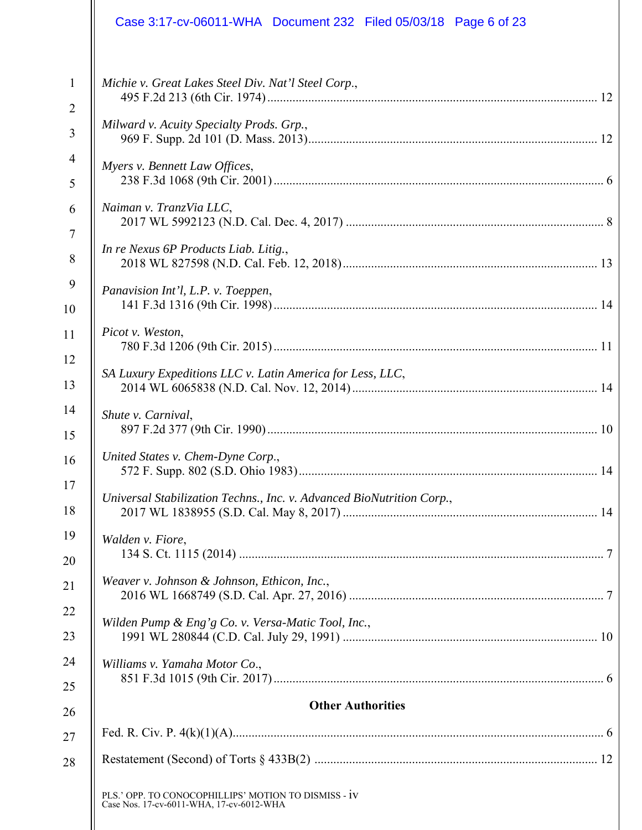|                | Case 3:17-cv-06011-WHA  Document 232  Filed 05/03/18  Page 6 of 23                               |
|----------------|--------------------------------------------------------------------------------------------------|
| $\mathbf{1}$   | Michie v. Great Lakes Steel Div. Nat'l Steel Corp.,                                              |
| $\overline{2}$ |                                                                                                  |
| 3              | Milward v. Acuity Specialty Prods. Grp.,                                                         |
| 4              | Myers v. Bennett Law Offices,                                                                    |
| 5              |                                                                                                  |
| 6              | Naiman v. TranzVia LLC,                                                                          |
| $\tau$         |                                                                                                  |
| 8              | In re Nexus 6P Products Liab. Litig.,                                                            |
| 9              | Panavision Int'l, L.P. v. Toeppen,                                                               |
| 10             |                                                                                                  |
| 11             | Picot v. Weston,                                                                                 |
| 12             | SA Luxury Expeditions LLC v. Latin America for Less, LLC,                                        |
| 13             |                                                                                                  |
| 14             | Shute v. Carnival,                                                                               |
| 15             |                                                                                                  |
| 16             | United States v. Chem-Dyne Corp.,                                                                |
| 17             | Universal Stabilization Techns., Inc. v. Advanced BioNutrition Corp.,                            |
| 18             |                                                                                                  |
| 19             | Walden v. Fiore,                                                                                 |
| 20             |                                                                                                  |
| 21             | Weaver v. Johnson & Johnson, Ethicon, Inc.,                                                      |
| 22             | Wilden Pump & Eng'g Co. v. Versa-Matic Tool, Inc.,                                               |
| 23             |                                                                                                  |
| 24             | Williams v. Yamaha Motor Co.,                                                                    |
| 25             |                                                                                                  |
| 26             | <b>Other Authorities</b>                                                                         |
| 27             |                                                                                                  |
| 28             |                                                                                                  |
|                | PLS.' OPP. TO CONOCOPHILLIPS' MOTION TO DISMISS - IV<br>Case Nos. 17-cv-6011-WHA, 17-cv-6012-WHA |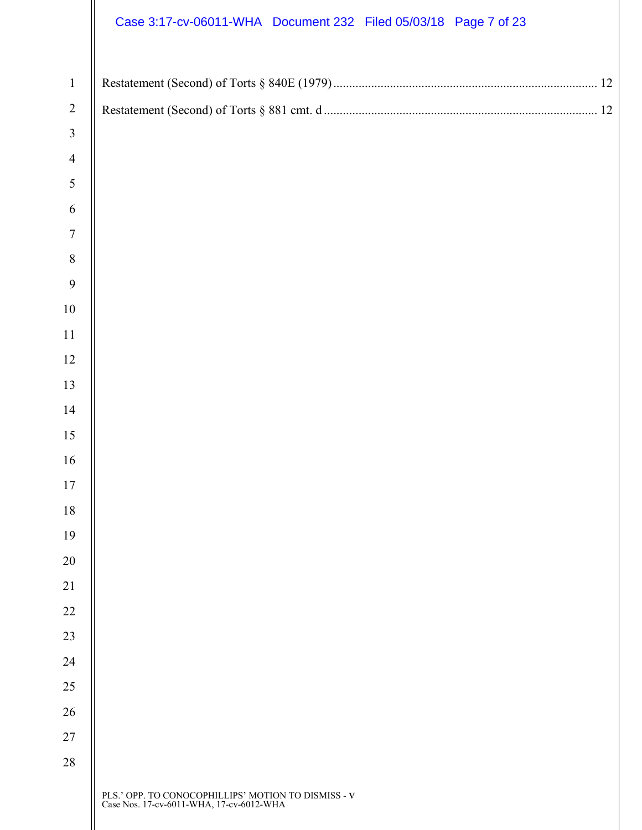|                | Case 3:17-cv-06011-WHA Document 232 Filed 05/03/18 Page 7 of 23                                      |
|----------------|------------------------------------------------------------------------------------------------------|
| $\mathbf{1}$   |                                                                                                      |
| $\overline{2}$ |                                                                                                      |
| $\mathfrak{Z}$ |                                                                                                      |
| $\overline{4}$ |                                                                                                      |
| $\mathfrak{S}$ |                                                                                                      |
| 6              |                                                                                                      |
| $\overline{7}$ |                                                                                                      |
| $\,8\,$        |                                                                                                      |
| $\overline{9}$ |                                                                                                      |
| $10\,$         |                                                                                                      |
| 11             |                                                                                                      |
| 12             |                                                                                                      |
| 13             |                                                                                                      |
| 14             |                                                                                                      |
| 15             |                                                                                                      |
| 16             |                                                                                                      |
| 17             |                                                                                                      |
| 18             |                                                                                                      |
| 19             |                                                                                                      |
| 20             |                                                                                                      |
| 21             |                                                                                                      |
| 22             |                                                                                                      |
| 23             |                                                                                                      |
| 24<br>25       |                                                                                                      |
| 26             |                                                                                                      |
| 27             |                                                                                                      |
| 28             |                                                                                                      |
|                | PLS.' OPP. TO CONOCOPHILLIPS' MOTION TO DISMISS - ${\bf V}$ Case Nos. 17-cv-6011-WHA, 17-cv-6012-WHA |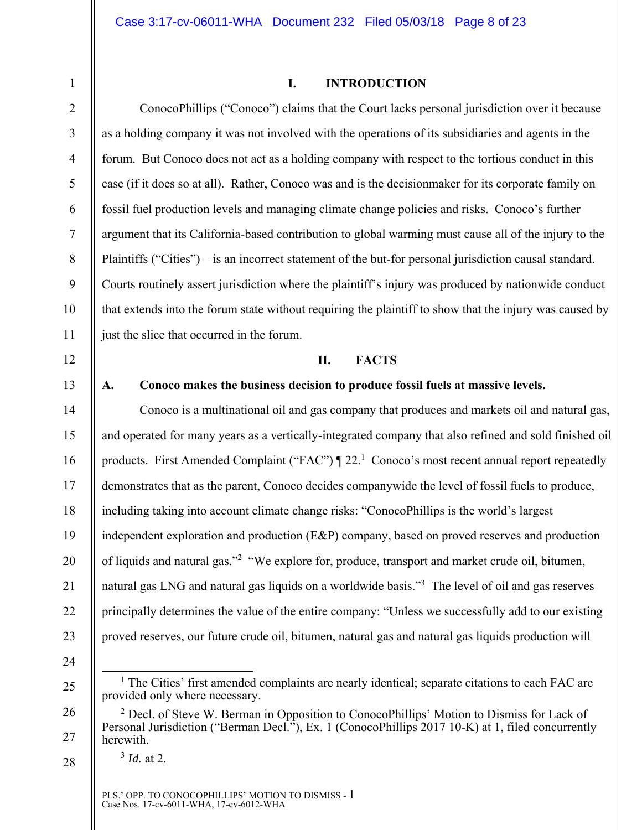# 2

3

4

5

6

7

8

9

10

11

12

14

15

16

17

18

19

20

21

22

23

1

#### **I. INTRODUCTION**

ConocoPhillips ("Conoco") claims that the Court lacks personal jurisdiction over it because as a holding company it was not involved with the operations of its subsidiaries and agents in the forum. But Conoco does not act as a holding company with respect to the tortious conduct in this case (if it does so at all). Rather, Conoco was and is the decisionmaker for its corporate family on fossil fuel production levels and managing climate change policies and risks. Conoco's further argument that its California-based contribution to global warming must cause all of the injury to the Plaintiffs ("Cities") – is an incorrect statement of the but-for personal jurisdiction causal standard. Courts routinely assert jurisdiction where the plaintiff's injury was produced by nationwide conduct that extends into the forum state without requiring the plaintiff to show that the injury was caused by just the slice that occurred in the forum.

#### **II. FACTS**

#### 13

#### **A. Conoco makes the business decision to produce fossil fuels at massive levels.**

Conoco is a multinational oil and gas company that produces and markets oil and natural gas, and operated for many years as a vertically-integrated company that also refined and sold finished oil products. First Amended Complaint ("FAC")  $\P$  22.<sup>1</sup> Conoco's most recent annual report repeatedly demonstrates that as the parent, Conoco decides companywide the level of fossil fuels to produce, including taking into account climate change risks: "ConocoPhillips is the world's largest independent exploration and production (E&P) company, based on proved reserves and production of liquids and natural gas."<sup>2</sup> "We explore for, produce, transport and market crude oil, bitumen, natural gas LNG and natural gas liquids on a worldwide basis."<sup>3</sup> The level of oil and gas reserves principally determines the value of the entire company: "Unless we successfully add to our existing proved reserves, our future crude oil, bitumen, natural gas and natural gas liquids production will

24

25

26

27

28

<sup>3</sup> *Id.* at 2.

PLS.' OPP. TO CONOCOPHILLIPS' MOTION TO DISMISS - 1 Case Nos. 17-cv-6011-WHA, 17-cv-6012-WHA

 $\frac{1}{1}$  $<sup>1</sup>$  The Cities' first amended complaints are nearly identical; separate citations to each FAC are</sup> provided only where necessary.

<sup>&</sup>lt;sup>2</sup> Decl. of Steve W. Berman in Opposition to ConocoPhillips' Motion to Dismiss for Lack of Personal Jurisdiction ("Berman Decl."), Ex. 1 (ConocoPhillips 2017 10-K) at 1, filed concurrently herewith.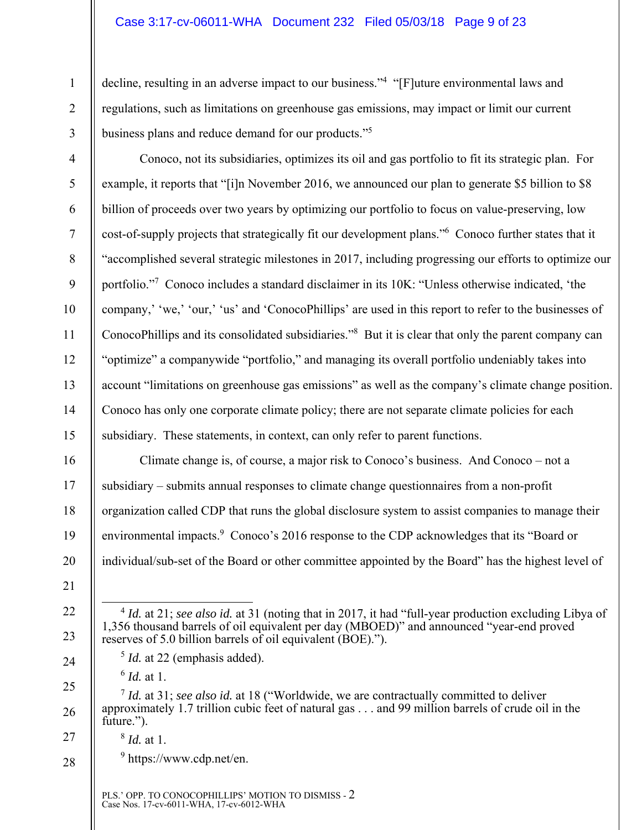#### Case 3:17-cv-06011-WHA Document 232 Filed 05/03/18 Page 9 of 23

decline, resulting in an adverse impact to our business."<sup>4</sup> "[F]uture environmental laws and regulations, such as limitations on greenhouse gas emissions, may impact or limit our current business plans and reduce demand for our products."<sup>5</sup>

Conoco, not its subsidiaries, optimizes its oil and gas portfolio to fit its strategic plan. For example, it reports that "[i]n November 2016, we announced our plan to generate \$5 billion to \$8 billion of proceeds over two years by optimizing our portfolio to focus on value-preserving, low cost-of-supply projects that strategically fit our development plans."6 Conoco further states that it "accomplished several strategic milestones in 2017, including progressing our efforts to optimize our portfolio."7 Conoco includes a standard disclaimer in its 10K: "Unless otherwise indicated, 'the company,' 'we,' 'our,' 'us' and 'ConocoPhillips' are used in this report to refer to the businesses of ConocoPhillips and its consolidated subsidiaries."<sup>8</sup> But it is clear that only the parent company can "optimize" a companywide "portfolio," and managing its overall portfolio undeniably takes into account "limitations on greenhouse gas emissions" as well as the company's climate change position. Conoco has only one corporate climate policy; there are not separate climate policies for each subsidiary. These statements, in context, can only refer to parent functions.

Climate change is, of course, a major risk to Conoco's business. And Conoco – not a subsidiary – submits annual responses to climate change questionnaires from a non-profit organization called CDP that runs the global disclosure system to assist companies to manage their environmental impacts.<sup>9</sup> Conoco's 2016 response to the CDP acknowledges that its "Board or individual/sub-set of the Board or other committee appointed by the Board" has the highest level of

- <sup>5</sup> *Id.* at 22 (emphasis added).
	- <sup>6</sup> *Id.* at 1.

1

2

3

4

5

6

7

8

9

10

11

12

13

14

15

16

17

18

19

20

21

22

23

24

27

28

<sup>9</sup> https://www.cdp.net/en.

 <sup>4</sup> *Id.* at 21; *see also id.* at 31 (noting that in 2017, it had "full-year production excluding Libya of 1,356 thousand barrels of oil equivalent per day (MBOED)" and announced "year-end proved reserves of 5.0 billion barrels of oil equivalent (BOE).").

<sup>25</sup>  26 <sup>7</sup> *Id.* at 31; *see also id.* at 18 ("Worldwide, we are contractually committed to deliver approximately 1.7 trillion cubic feet of natural gas . . . and 99 million barrels of crude oil in the future.").

<sup>8</sup> *Id.* at 1.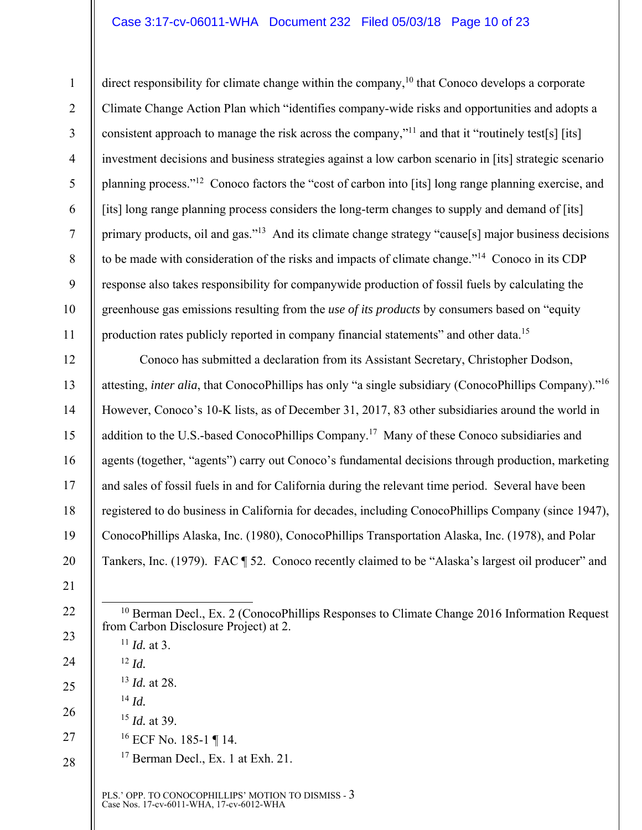#### Case 3:17-cv-06011-WHA Document 232 Filed 05/03/18 Page 10 of 23

1 2 3 4 5 6 7 8 9 10 11 direct responsibility for climate change within the company,  $10$  that Conoco develops a corporate Climate Change Action Plan which "identifies company-wide risks and opportunities and adopts a consistent approach to manage the risk across the company,"11 and that it "routinely test[s] [its] investment decisions and business strategies against a low carbon scenario in [its] strategic scenario planning process."12 Conoco factors the "cost of carbon into [its] long range planning exercise, and [its] long range planning process considers the long-term changes to supply and demand of [its] primary products, oil and gas."13 And its climate change strategy "cause[s] major business decisions to be made with consideration of the risks and impacts of climate change."14 Conoco in its CDP response also takes responsibility for companywide production of fossil fuels by calculating the greenhouse gas emissions resulting from the *use of its products* by consumers based on "equity production rates publicly reported in company financial statements" and other data.15

12 14 16 Conoco has submitted a declaration from its Assistant Secretary, Christopher Dodson, attesting, *inter alia*, that ConocoPhillips has only "a single subsidiary (ConocoPhillips Company)."16 However, Conoco's 10-K lists, as of December 31, 2017, 83 other subsidiaries around the world in addition to the U.S.-based ConocoPhillips Company.17 Many of these Conoco subsidiaries and agents (together, "agents") carry out Conoco's fundamental decisions through production, marketing and sales of fossil fuels in and for California during the relevant time period. Several have been registered to do business in California for decades, including ConocoPhillips Company (since 1947), ConocoPhillips Alaska, Inc. (1980), ConocoPhillips Transportation Alaska, Inc. (1978), and Polar Tankers, Inc. (1979). FAC ¶ 52. Conoco recently claimed to be "Alaska's largest oil producer" and

- $10$  Berman Decl., Ex. 2 (ConocoPhillips Responses to Climate Change 2016 Information Request from Carbon Disclosure Project) at 2.
- $11$  *Id.* at 3.  $12 \, Id.$ <sup>13</sup> *Id.* at 28. <sup>14</sup> *Id.* <sup>15</sup> *Id.* at 39. 16 ECF No. 185-1 ¶ 14. <sup>17</sup> Berman Decl., Ex. 1 at Exh. 21.

PLS.' OPP. TO CONOCOPHILLIPS' MOTION TO DISMISS - 3 Case Nos. 17-cv-6011-WHA, 17-cv-6012-WHA

13

15

17

18

19

20

21

22

23

24

25

26

27

28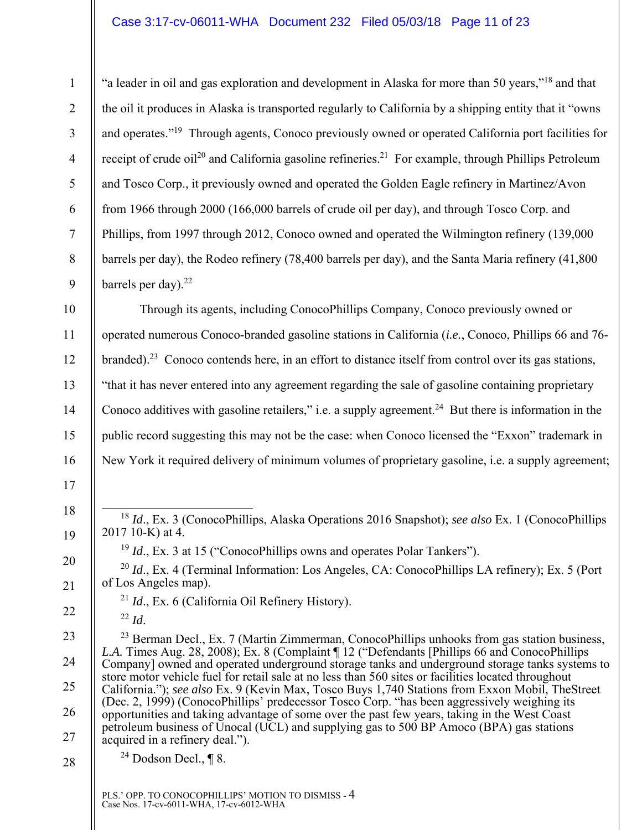"a leader in oil and gas exploration and development in Alaska for more than 50 years,"18 and that the oil it produces in Alaska is transported regularly to California by a shipping entity that it "owns and operates."19 Through agents, Conoco previously owned or operated California port facilities for receipt of crude oil<sup>20</sup> and California gasoline refineries.<sup>21</sup> For example, through Phillips Petroleum and Tosco Corp., it previously owned and operated the Golden Eagle refinery in Martinez/Avon from 1966 through 2000 (166,000 barrels of crude oil per day), and through Tosco Corp. and Phillips, from 1997 through 2012, Conoco owned and operated the Wilmington refinery (139,000 barrels per day), the Rodeo refinery (78,400 barrels per day), and the Santa Maria refinery (41,800 barrels per day). $22$ 

Through its agents, including ConocoPhillips Company, Conoco previously owned or operated numerous Conoco-branded gasoline stations in California (*i.e.*, Conoco, Phillips 66 and 76 branded).23 Conoco contends here, in an effort to distance itself from control over its gas stations, "that it has never entered into any agreement regarding the sale of gasoline containing proprietary Conoco additives with gasoline retailers," i.e. a supply agreement.<sup>24</sup> But there is information in the public record suggesting this may not be the case: when Conoco licensed the "Exxon" trademark in New York it required delivery of minimum volumes of proprietary gasoline, i.e. a supply agreement;

 18 *Id*., Ex. 3 (ConocoPhillips, Alaska Operations 2016 Snapshot); *see also* Ex. 1 (ConocoPhillips 2017 10-K) at 4.

<sup>19</sup> *Id.*, Ex. 3 at 15 ("ConocoPhillips owns and operates Polar Tankers").

- <sup>20</sup> *Id.*, Ex. 4 (Terminal Information: Los Angeles, CA: ConocoPhillips LA refinery); Ex. 5 (Port of Los Angeles map).
	- <sup>21</sup> *Id*., Ex. 6 (California Oil Refinery History).
	- <sup>22</sup> *Id*.

1

2

3

4

5

6

7

8

9

10

11

12

13

14

15

16

17

18

19

20

21

22

23

24

25

26

27

28

 $^{23}$  Berman Decl., Ex. 7 (Martin Zimmerman, ConocoPhillips unhooks from gas station business, *L.A.* Times Aug. 28, 2008); Ex. 8 (Complaint ¶ 12 ("Defendants [Phillips 66 and ConocoPhillips Company] owned and operated underground storage tanks and underground storage tanks systems to store motor vehicle fuel for retail sale at no less than 560 sites or facilities located throughout California."); *see also* Ex. 9 (Kevin Max, Tosco Buys 1,740 Stations from Exxon Mobil, TheStreet (Dec. 2, 1999) (ConocoPhillips' predecessor Tosco Corp. "has been aggressively weighing its opportunities and taking advantage of some over the past few years, taking in the West Coast petroleum business of Unocal (UCL) and supplying gas to 500 BP Amoco (BPA) gas stations acquired in a refinery deal.").

 $24$  Dodson Decl., ¶ 8.

PLS.' OPP. TO CONOCOPHILLIPS' MOTION TO DISMISS - 4 Case Nos. 17-cv-6011-WHA, 17-cv-6012-WHA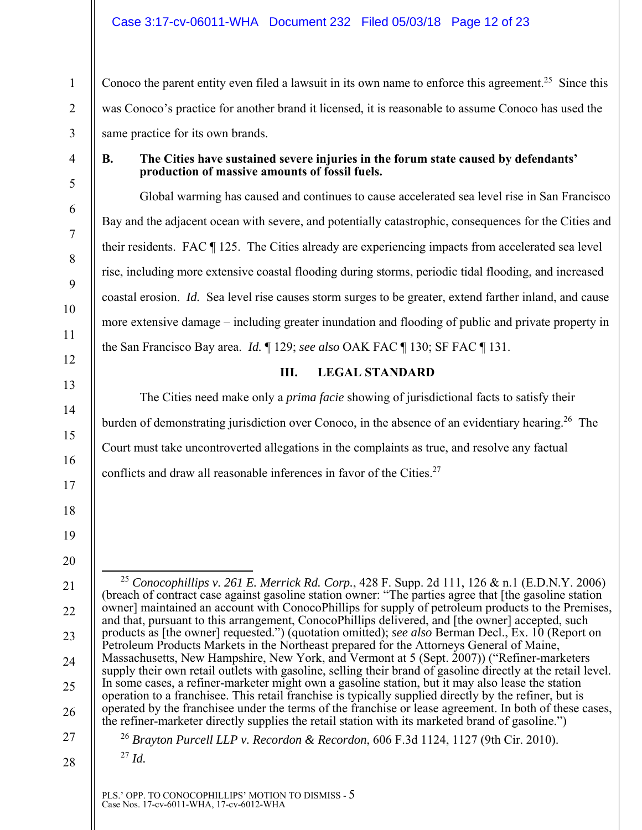Conoco the parent entity even filed a lawsuit in its own name to enforce this agreement.<sup>25</sup> Since this was Conoco's practice for another brand it licensed, it is reasonable to assume Conoco has used the same practice for its own brands.

1

2

3

4

5

6

7

8

9

10

11

12

13

14

15

16

17

18

19

20

21

22

23

24

25

26

27

#### **B. The Cities have sustained severe injuries in the forum state caused by defendants' production of massive amounts of fossil fuels.**

Global warming has caused and continues to cause accelerated sea level rise in San Francisco Bay and the adjacent ocean with severe, and potentially catastrophic, consequences for the Cities and their residents. FAC ¶ 125. The Cities already are experiencing impacts from accelerated sea level rise, including more extensive coastal flooding during storms, periodic tidal flooding, and increased coastal erosion. *Id.* Sea level rise causes storm surges to be greater, extend farther inland, and cause more extensive damage – including greater inundation and flooding of public and private property in the San Francisco Bay area. *Id.* ¶ 129; *see also* OAK FAC ¶ 130; SF FAC ¶ 131.

#### **III. LEGAL STANDARD**

The Cities need make only a *prima facie* showing of jurisdictional facts to satisfy their burden of demonstrating jurisdiction over Conoco, in the absence of an evidentiary hearing.<sup>26</sup> The Court must take uncontroverted allegations in the complaints as true, and resolve any factual conflicts and draw all reasonable inferences in favor of the Cities.<sup>27</sup>

 25 *Conocophillips v. 261 E. Merrick Rd. Corp.*, 428 F. Supp. 2d 111, 126 & n.1 (E.D.N.Y. 2006) (breach of contract case against gasoline station owner: "The parties agree that [the gasoline station owner] maintained an account with ConocoPhillips for supply of petroleum products to the Premises, and that, pursuant to this arrangement, ConocoPhillips delivered, and [the owner] accepted, such products as [the owner] requested.") (quotation omitted); *see also* Berman Decl., Ex. 10 (Report on Petroleum Products Markets in the Northeast prepared for the Attorneys General of Maine, Massachusetts, New Hampshire, New York, and Vermont at 5 (Sept. 2007)) ("Refiner-marketers supply their own retail outlets with gasoline, selling their brand of gasoline directly at the retail level. In some cases, a refiner-marketer might own a gasoline station, but it may also lease the station operation to a franchisee. This retail franchise is typically supplied directly by the refiner, but is operated by the franchisee under the terms of the franchise or lease agreement. In both of these cases, the refiner-marketer directly supplies the retail station with its marketed brand of gasoline.")

<sup>26</sup> *Brayton Purcell LLP v. Recordon & Recordon*, 606 F.3d 1124, 1127 (9th Cir. 2010).

28

<sup>27</sup> *Id.*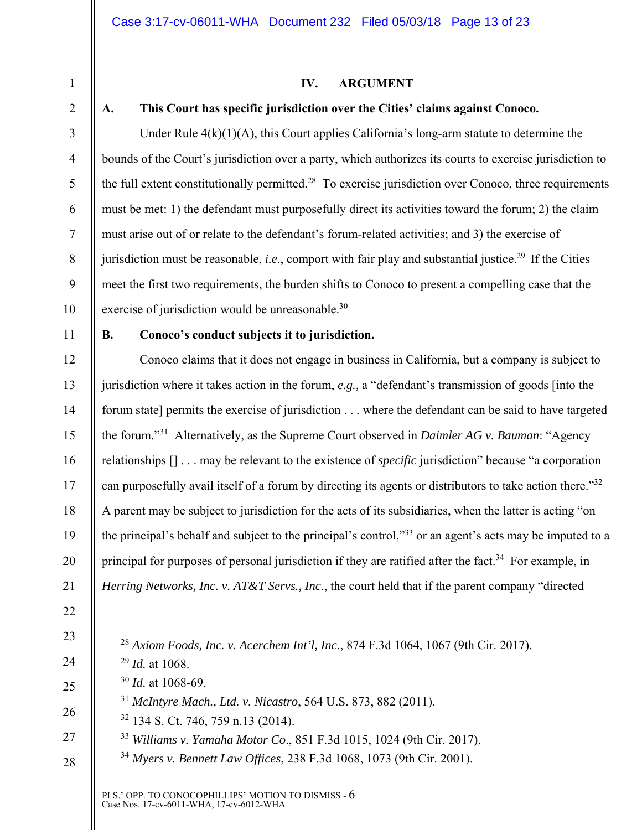1

2

3

4

5

6

7

8

9

# **IV. ARGUMENT**

#### **A. This Court has specific jurisdiction over the Cities' claims against Conoco.**

Under Rule  $4(k)(1)(A)$ , this Court applies California's long-arm statute to determine the bounds of the Court's jurisdiction over a party, which authorizes its courts to exercise jurisdiction to the full extent constitutionally permitted.<sup>28</sup> To exercise jurisdiction over Conoco, three requirements must be met: 1) the defendant must purposefully direct its activities toward the forum; 2) the claim must arise out of or relate to the defendant's forum-related activities; and 3) the exercise of jurisdiction must be reasonable, *i.e.*, comport with fair play and substantial justice.<sup>29</sup> If the Cities meet the first two requirements, the burden shifts to Conoco to present a compelling case that the exercise of jurisdiction would be unreasonable.<sup>30</sup>

### 11

12

13

14

15

16

17

18

19

20

21

10

#### **B. Conoco's conduct subjects it to jurisdiction.**

Conoco claims that it does not engage in business in California, but a company is subject to jurisdiction where it takes action in the forum, *e.g.,* a "defendant's transmission of goods [into the forum state] permits the exercise of jurisdiction . . . where the defendant can be said to have targeted the forum."31 Alternatively, as the Supreme Court observed in *Daimler AG v. Bauman*: "Agency relationships [] . . . may be relevant to the existence of *specific* jurisdiction" because "a corporation can purposefully avail itself of a forum by directing its agents or distributors to take action there."32 A parent may be subject to jurisdiction for the acts of its subsidiaries, when the latter is acting "on the principal's behalf and subject to the principal's control,"33 or an agent's acts may be imputed to a principal for purposes of personal jurisdiction if they are ratified after the fact.<sup>34</sup> For example, in *Herring Networks, Inc. v. AT&T Servs., Inc*., the court held that if the parent company "directed

- 22
- 23

24

25

26

27

28

28 *Axiom Foods, Inc. v. Acerchem Int'l, Inc*., 874 F.3d 1064, 1067 (9th Cir. 2017).

<sup>29</sup> *Id.* at 1068. <sup>30</sup> *Id.* at 1068-69.

<sup>31</sup> *McIntyre Mach., Ltd. v. Nicastro*, 564 U.S. 873, 882 (2011).

32 134 S. Ct. 746, 759 n.13 (2014).

<sup>33</sup> *Williams v. Yamaha Motor Co*., 851 F.3d 1015, 1024 (9th Cir. 2017).

<sup>34</sup> *Myers v. Bennett Law Offices*, 238 F.3d 1068, 1073 (9th Cir. 2001).

PLS.' OPP. TO CONOCOPHILLIPS' MOTION TO DISMISS - 6 Case Nos. 17-cv-6011-WHA, 17-cv-6012-WHA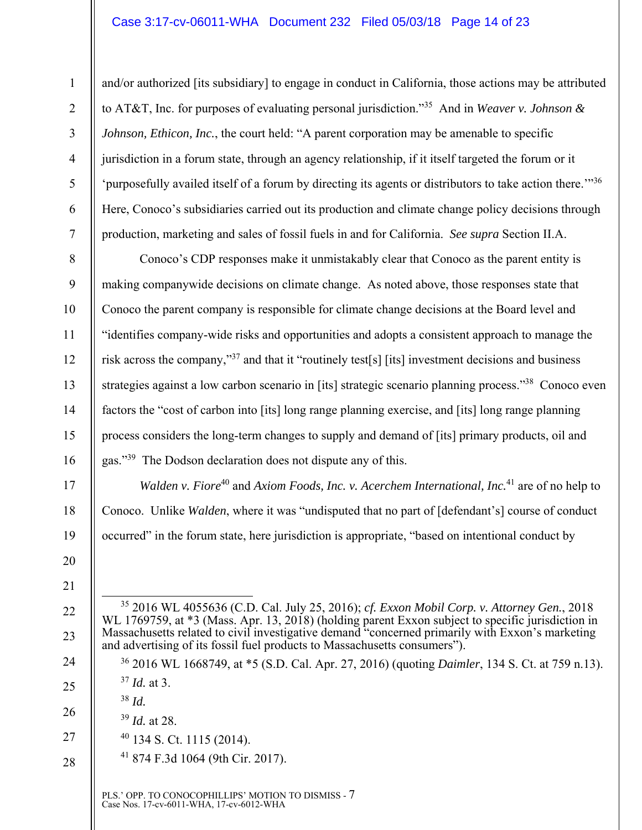and/or authorized [its subsidiary] to engage in conduct in California, those actions may be attributed to AT&T, Inc. for purposes of evaluating personal jurisdiction."35 And in *Weaver v. Johnson & Johnson, Ethicon, Inc., the court held:* "A parent corporation may be amenable to specific jurisdiction in a forum state, through an agency relationship, if it itself targeted the forum or it 'purposefully availed itself of a forum by directing its agents or distributors to take action there.'"<sup>36</sup> Here, Conoco's subsidiaries carried out its production and climate change policy decisions through production, marketing and sales of fossil fuels in and for California. *See supra* Section II.A.

8 9 10 11 12 13 14 15 16 Conoco's CDP responses make it unmistakably clear that Conoco as the parent entity is making companywide decisions on climate change. As noted above, those responses state that Conoco the parent company is responsible for climate change decisions at the Board level and "identifies company-wide risks and opportunities and adopts a consistent approach to manage the risk across the company,"37 and that it "routinely test[s] [its] investment decisions and business strategies against a low carbon scenario in [its] strategic scenario planning process."<sup>38</sup> Conoco even factors the "cost of carbon into [its] long range planning exercise, and [its] long range planning process considers the long-term changes to supply and demand of [its] primary products, oil and gas."39 The Dodson declaration does not dispute any of this.

*Walden v. Fiore*<sup>40</sup> and *Axiom Foods, Inc. v. Acerchem International, Inc.*<sup>41</sup> are of no help to Conoco. Unlike *Walden*, where it was "undisputed that no part of [defendant's] course of conduct occurred" in the forum state, here jurisdiction is appropriate, "based on intentional conduct by

1

2

3

4

5

6

7

17

18

19

20

21

22

23

24

25

26

28

- <sup>39</sup> *Id.* at 28.
- 27 40 134 S. Ct. 1115 (2014).
	- 41 874 F.3d 1064 (9th Cir. 2017).

PLS.' OPP. TO CONOCOPHILLIPS' MOTION TO DISMISS - 7 Case Nos. 17-cv-6011-WHA, 17-cv-6012-WHA

 <sup>35 2016</sup> WL 4055636 (C.D. Cal. July 25, 2016); *cf. Exxon Mobil Corp. v. Attorney Gen.*, 2018 WL 1769759, at \*3 (Mass. Apr. 13, 2018) (holding parent Exxon subject to specific jurisdiction in Massachusetts related to civil investigative demand "concerned primarily with Exxon's marketing and advertising of its fossil fuel products to Massachusetts consumers").

<sup>36 2016</sup> WL 1668749, at \*5 (S.D. Cal. Apr. 27, 2016) (quoting *Daimler*, 134 S. Ct. at 759 n.13). <sup>37</sup> *Id.* at 3.

<sup>38</sup> *Id.*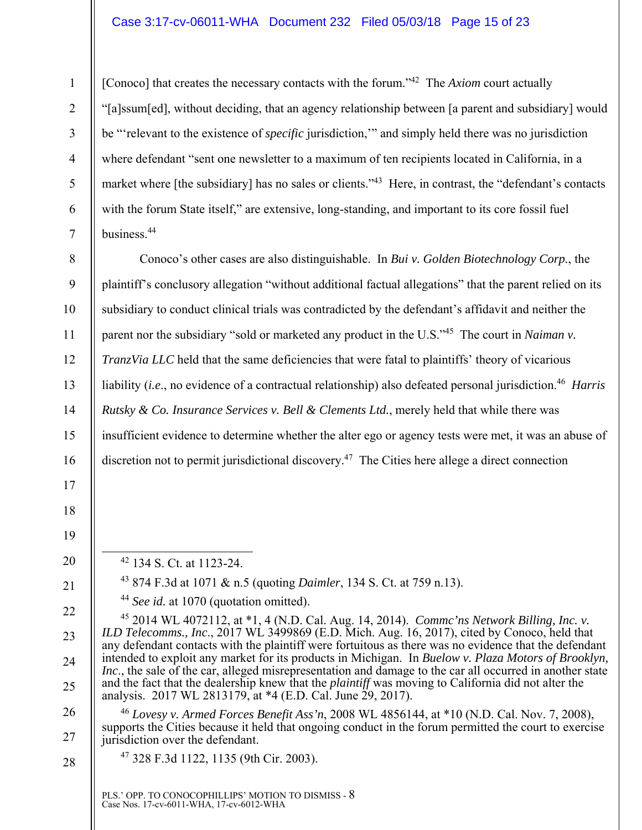#### Case 3:17-cv-06011-WHA Document 232 Filed 05/03/18 Page 15 of 23

[Conoco] that creates the necessary contacts with the forum.<sup>342</sup> The *Axiom* court actually "[a]ssum[ed], without deciding, that an agency relationship between [a parent and subsidiary] would be "'relevant to the existence of *specific* jurisdiction,'" and simply held there was no jurisdiction where defendant "sent one newsletter to a maximum of ten recipients located in California, in a market where [the subsidiary] has no sales or clients."<sup>43</sup> Here, in contrast, the "defendant's contacts with the forum State itself," are extensive, long-standing, and important to its core fossil fuel business.44

8 9 10 11 12 13 14 15 16 Conoco's other cases are also distinguishable. In *Bui v. Golden Biotechnology Corp.*, the plaintiff's conclusory allegation "without additional factual allegations" that the parent relied on its subsidiary to conduct clinical trials was contradicted by the defendant's affidavit and neither the parent nor the subsidiary "sold or marketed any product in the U.S."<sup>45</sup> The court in *Naiman v*. *TranzVia LLC* held that the same deficiencies that were fatal to plaintiffs' theory of vicarious liability (*i.e.*, no evidence of a contractual relationship) also defeated personal jurisdiction.<sup>46</sup> *Harris Rutsky & Co. Insurance Services v. Bell & Clements Ltd.*, merely held that while there was insufficient evidence to determine whether the alter ego or agency tests were met, it was an abuse of discretion not to permit jurisdictional discovery.<sup>47</sup> The Cities here allege a direct connection

17 18

1

2

3

4

5

6

7

19

20

21

22

23

24

25

26

27

 $42$  134 S. Ct. at 1123-24.

43 874 F.3d at 1071 & n.5 (quoting *Daimler*, 134 S. Ct. at 759 n.13).

<sup>44</sup> *See id.* at 1070 (quotation omitted).

45 2014 WL 4072112, at \*1, 4 (N.D. Cal. Aug. 14, 2014). *Commc'ns Network Billing, Inc. v. ILD Telecomms., Inc*., 2017 WL 3499869 (E.D. Mich. Aug. 16, 2017), cited by Conoco, held that any defendant contacts with the plaintiff were fortuitous as there was no evidence that the defendant intended to exploit any market for its products in Michigan. In *Buelow v. Plaza Motors of Brooklyn, Inc.*, the sale of the car, alleged misrepresentation and damage to the car all occurred in another state and the fact that the dealership knew that the *plaintiff* was moving to California did not alter the analysis. 2017 WL 2813179, at \*4 (E.D. Cal. June 29, 2017).

<sup>46</sup> *Lovesy v. Armed Forces Benefit Ass'n*, 2008 WL 4856144, at \*10 (N.D. Cal. Nov. 7, 2008), supports the Cities because it held that ongoing conduct in the forum permitted the court to exercise jurisdiction over the defendant.

28

47 328 F.3d 1122, 1135 (9th Cir. 2003).

PLS.' OPP. TO CONOCOPHILLIPS' MOTION TO DISMISS - 8 Case Nos. 17-cv-6011-WHA, 17-cv-6012-WHA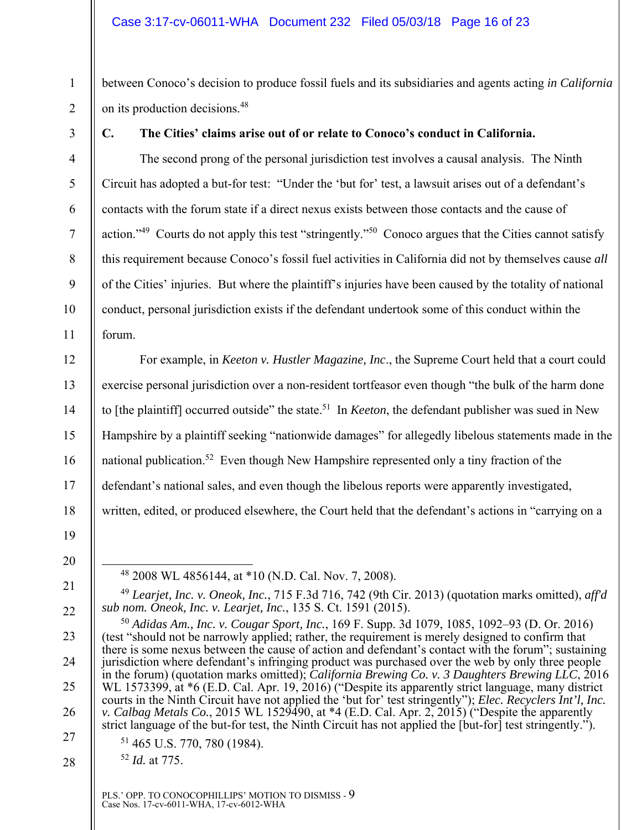between Conoco's decision to produce fossil fuels and its subsidiaries and agents acting *in California*  on its production decisions.48

1

2

3

4

5

6

7

8

9

10

11

12

13

14

15

16

17

18

#### **C. The Cities' claims arise out of or relate to Conoco's conduct in California.**

The second prong of the personal jurisdiction test involves a causal analysis. The Ninth Circuit has adopted a but-for test: "Under the 'but for' test, a lawsuit arises out of a defendant's contacts with the forum state if a direct nexus exists between those contacts and the cause of action."<sup>49</sup> Courts do not apply this test "stringently."<sup>50</sup> Conoco argues that the Cities cannot satisfy this requirement because Conoco's fossil fuel activities in California did not by themselves cause *all* of the Cities' injuries. But where the plaintiff's injuries have been caused by the totality of national conduct, personal jurisdiction exists if the defendant undertook some of this conduct within the forum.

For example, in *Keeton v. Hustler Magazine, Inc*., the Supreme Court held that a court could exercise personal jurisdiction over a non-resident tortfeasor even though "the bulk of the harm done to [the plaintiff] occurred outside" the state.51 In *Keeton*, the defendant publisher was sued in New Hampshire by a plaintiff seeking "nationwide damages" for allegedly libelous statements made in the national publication.<sup>52</sup> Even though New Hampshire represented only a tiny fraction of the defendant's national sales, and even though the libelous reports were apparently investigated, written, edited, or produced elsewhere, the Court held that the defendant's actions in "carrying on a

19 20

21

22

23

24

25

26

27

28

<sup>49</sup> *Learjet, Inc. v. Oneok, Inc.*, 715 F.3d 716, 742 (9th Cir. 2013) (quotation marks omitted), *aff'd sub nom. Oneok, Inc. v. Learjet, Inc.*, 135 S. Ct. 1591 (2015).

<sup>52</sup> *Id.* at 775.

 <sup>48 2008</sup> WL 4856144, at \*10 (N.D. Cal. Nov. 7, 2008).

<sup>50</sup> *Adidas Am., Inc. v. Cougar Sport, Inc.*, 169 F. Supp. 3d 1079, 1085, 1092–93 (D. Or. 2016) (test "should not be narrowly applied; rather, the requirement is merely designed to confirm that there is some nexus between the cause of action and defendant's contact with the forum"; sustaining jurisdiction where defendant's infringing product was purchased over the web by only three people in the forum) (quotation marks omitted); *California Brewing Co. v. 3 Daughters Brewing LLC*, 2016 WL 1573399, at \*6 (E.D. Cal. Apr. 19, 2016) ("Despite its apparently strict language, many district courts in the Ninth Circuit have not applied the 'but for' test stringently"); *Elec. Recyclers Int'l, Inc. v. Calbag Metals Co.*, 2015 WL 1529490, at \*4 (E.D. Cal. Apr. 2, 2015) ("Despite the apparently strict language of the but-for test, the Ninth Circuit has not applied the [but-for] test stringently."). 51 465 U.S. 770, 780 (1984).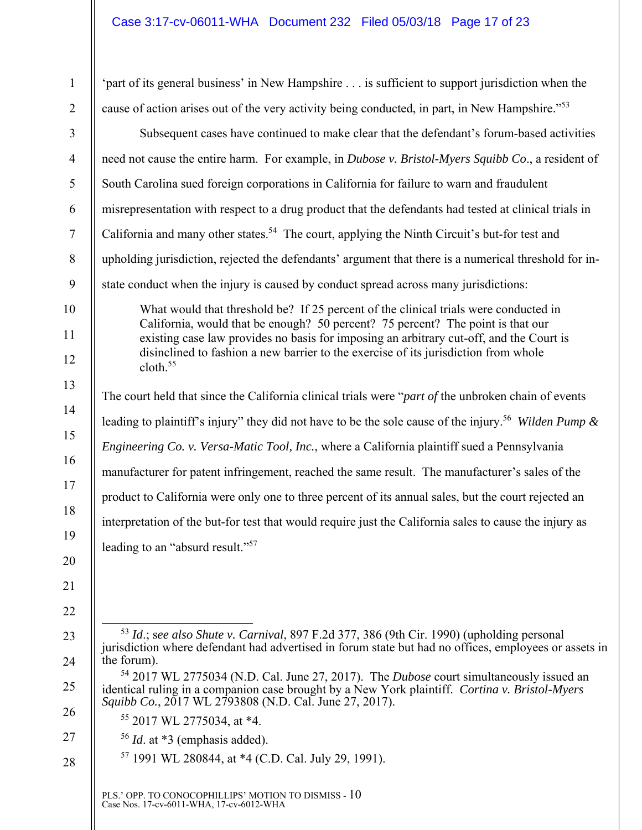| $\mathbf{1}$   | 'part of its general business' in New Hampshire is sufficient to support jurisdiction when the                                                                                                                                                                                                                                                                                    |
|----------------|-----------------------------------------------------------------------------------------------------------------------------------------------------------------------------------------------------------------------------------------------------------------------------------------------------------------------------------------------------------------------------------|
| $\overline{2}$ | cause of action arises out of the very activity being conducted, in part, in New Hampshire." <sup>53</sup>                                                                                                                                                                                                                                                                        |
| 3              | Subsequent cases have continued to make clear that the defendant's forum-based activities                                                                                                                                                                                                                                                                                         |
| $\overline{4}$ | need not cause the entire harm. For example, in Dubose v. Bristol-Myers Squibb Co., a resident of                                                                                                                                                                                                                                                                                 |
| 5              | South Carolina sued foreign corporations in California for failure to warn and fraudulent                                                                                                                                                                                                                                                                                         |
| 6              | misrepresentation with respect to a drug product that the defendants had tested at clinical trials in                                                                                                                                                                                                                                                                             |
| $\tau$         | California and many other states. <sup>54</sup> The court, applying the Ninth Circuit's but-for test and                                                                                                                                                                                                                                                                          |
| $8\,$          | upholding jurisdiction, rejected the defendants' argument that there is a numerical threshold for in-                                                                                                                                                                                                                                                                             |
| 9              | state conduct when the injury is caused by conduct spread across many jurisdictions:                                                                                                                                                                                                                                                                                              |
| 10<br>11<br>12 | What would that threshold be? If 25 percent of the clinical trials were conducted in<br>California, would that be enough? 50 percent? 75 percent? The point is that our<br>existing case law provides no basis for imposing an arbitrary cut-off, and the Court is<br>disinclined to fashion a new barrier to the exercise of its jurisdiction from whole<br>cloth. <sup>55</sup> |
| 13             | The court held that since the California clinical trials were " <i>part of</i> the unbroken chain of events                                                                                                                                                                                                                                                                       |
| 14             | leading to plaintiff's injury" they did not have to be the sole cause of the injury. <sup>56</sup> Wilden Pump &                                                                                                                                                                                                                                                                  |
| 15             | Engineering Co. v. Versa-Matic Tool, Inc., where a California plaintiff sued a Pennsylvania                                                                                                                                                                                                                                                                                       |
| 16             | manufacturer for patent infringement, reached the same result. The manufacturer's sales of the                                                                                                                                                                                                                                                                                    |
| 17             | product to California were only one to three percent of its annual sales, but the court rejected an                                                                                                                                                                                                                                                                               |
| 18             | interpretation of the but-for test that would require just the California sales to cause the injury as                                                                                                                                                                                                                                                                            |
| 19             | leading to an "absurd result." <sup>57</sup>                                                                                                                                                                                                                                                                                                                                      |
| 20<br>21<br>22 |                                                                                                                                                                                                                                                                                                                                                                                   |
| 23<br>24       | 53 Id.; see also Shute v. Carnival, 897 F.2d 377, 386 (9th Cir. 1990) (upholding personal<br>jurisdiction where defendant had advertised in forum state but had no offices, employees or assets in<br>the forum).                                                                                                                                                                 |
| 25<br>26       | 54 2017 WL 2775034 (N.D. Cal. June 27, 2017). The Dubose court simultaneously issued an<br>identical ruling in a companion case brought by a New York plaintiff. Cortina v. Bristol-Myers<br>Squibb Co., 2017 WL 2793808 (N.D. Cal. June 27, 2017).                                                                                                                               |
| 27             | $55$ 2017 WL 2775034, at *4.<br>$56$ <i>Id.</i> at $*3$ (emphasis added).                                                                                                                                                                                                                                                                                                         |
| 28             | <sup>57</sup> 1991 WL 280844, at *4 (C.D. Cal. July 29, 1991).                                                                                                                                                                                                                                                                                                                    |
|                | PLS.' OPP. TO CONOCOPHILLIPS' MOTION TO DISMISS - $10$ Case Nos. $17\text{-cv-6011-WHA},$ $17\text{-cv-6012-WHA}$                                                                                                                                                                                                                                                                 |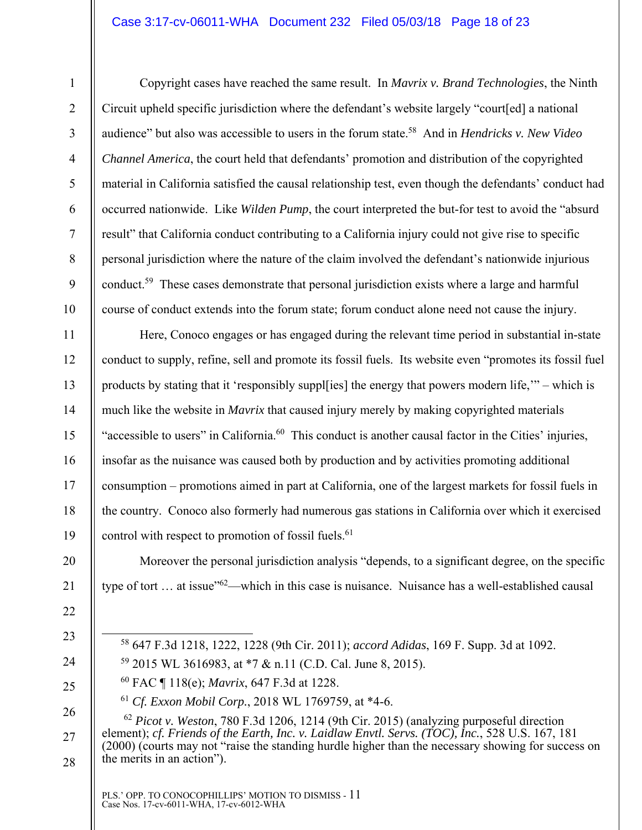#### Case 3:17-cv-06011-WHA Document 232 Filed 05/03/18 Page 18 of 23

7

8

9

10

11

12

13

14

15

16

17

18

19

20

21

1

Copyright cases have reached the same result. In *Mavrix v. Brand Technologies*, the Ninth Circuit upheld specific jurisdiction where the defendant's website largely "court[ed] a national audience" but also was accessible to users in the forum state.58 And in *Hendricks v. New Video Channel America*, the court held that defendants' promotion and distribution of the copyrighted material in California satisfied the causal relationship test, even though the defendants' conduct had occurred nationwide. Like *Wilden Pump*, the court interpreted the but-for test to avoid the "absurd result" that California conduct contributing to a California injury could not give rise to specific personal jurisdiction where the nature of the claim involved the defendant's nationwide injurious conduct.59 These cases demonstrate that personal jurisdiction exists where a large and harmful course of conduct extends into the forum state; forum conduct alone need not cause the injury.

Here, Conoco engages or has engaged during the relevant time period in substantial in-state conduct to supply, refine, sell and promote its fossil fuels. Its website even "promotes its fossil fuel products by stating that it 'responsibly suppl[ies] the energy that powers modern life,'" – which is much like the website in *Mavrix* that caused injury merely by making copyrighted materials "accessible to users" in California.<sup>60</sup> This conduct is another causal factor in the Cities' injuries, insofar as the nuisance was caused both by production and by activities promoting additional consumption – promotions aimed in part at California, one of the largest markets for fossil fuels in the country. Conoco also formerly had numerous gas stations in California over which it exercised control with respect to promotion of fossil fuels.<sup>61</sup>

Moreover the personal jurisdiction analysis "depends, to a significant degree, on the specific type of tort ... at issue<sup>"62</sup>—which in this case is nuisance. Nuisance has a well-established causal

- 22
- 23
- 24

25

- 58 647 F.3d 1218, 1222, 1228 (9th Cir. 2011); *accord Adidas*, 169 F. Supp. 3d at 1092.
- 59 2015 WL 3616983, at \*7 & n.11 (C.D. Cal. June 8, 2015).
- 60 FAC ¶ 118(e); *Mavrix*, 647 F.3d at 1228.
- <sup>61</sup> *Cf. Exxon Mobil Corp.*, 2018 WL 1769759, at \*4-6.

26 27 28 <sup>62</sup> *Picot v. Weston*, 780 F.3d 1206, 1214 (9th Cir. 2015) (analyzing purposeful direction element); *cf. Friends of the Earth, Inc. v. Laidlaw Envtl. Servs. (TOC), Inc.*, 528 U.S. 167, 181 (2000) (courts may not "raise the standing hurdle higher than the necessary showing for success on the merits in an action").

PLS.' OPP. TO CONOCOPHILLIPS' MOTION TO DISMISS - 11 Case Nos. 17-cv-6011-WHA, 17-cv-6012-WHA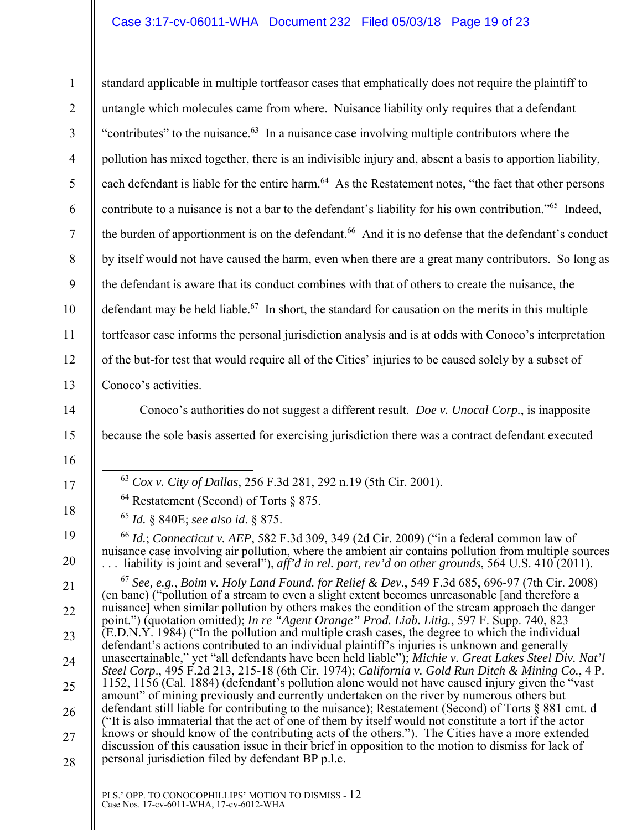1 2 3 4 5 6 7 8 9 10 11 12 13 standard applicable in multiple tortfeasor cases that emphatically does not require the plaintiff to untangle which molecules came from where. Nuisance liability only requires that a defendant "contributes" to the nuisance. $63$  In a nuisance case involving multiple contributors where the pollution has mixed together, there is an indivisible injury and, absent a basis to apportion liability, each defendant is liable for the entire harm.<sup>64</sup> As the Restatement notes, "the fact that other persons contribute to a nuisance is not a bar to the defendant's liability for his own contribution."65 Indeed, the burden of apportionment is on the defendant.<sup>66</sup> And it is no defense that the defendant's conduct by itself would not have caused the harm, even when there are a great many contributors. So long as the defendant is aware that its conduct combines with that of others to create the nuisance, the defendant may be held liable.<sup>67</sup> In short, the standard for causation on the merits in this multiple tortfeasor case informs the personal jurisdiction analysis and is at odds with Conoco's interpretation of the but-for test that would require all of the Cities' injuries to be caused solely by a subset of Conoco's activities.

14

15

16

17

18

19

20

21

22

23

24

25

26

27

28

Conoco's authorities do not suggest a different result. *Doe v. Unocal Corp.*, is inapposite because the sole basis asserted for exercising jurisdiction there was a contract defendant executed

63 *Cox v. City of Dallas*, 256 F.3d 281, 292 n.19 (5th Cir. 2001).

64 Restatement (Second) of Torts § 875.

<sup>65</sup> *Id.* § 840E; *see also id*. § 875.

<sup>66</sup> *Id.*; *Connecticut v. AEP*, 582 F.3d 309, 349 (2d Cir. 2009) ("in a federal common law of nuisance case involving air pollution, where the ambient air contains pollution from multiple sources . . . liability is joint and several"), *aff'd in rel. part, rev'd on other grounds*, 564 U.S. 410 (2011).

<sup>67</sup> *See, e.g.*, *Boim v. Holy Land Found. for Relief & Dev.*, 549 F.3d 685, 696-97 (7th Cir. 2008) (en banc) ("pollution of a stream to even a slight extent becomes unreasonable [and therefore a nuisance] when similar pollution by others makes the condition of the stream approach the danger point.") (quotation omitted); *In re "Agent Orange" Prod. Liab. Litig.*, 597 F. Supp. 740, 823 (E.D.N.Y. 1984) ("In the pollution and multiple crash cases, the degree to which the individual defendant's actions contributed to an individual plaintiff's injuries is unknown and generally unascertainable," yet "all defendants have been held liable"); *Michie v. Great Lakes Steel Div. Nat'l Steel Corp*., 495 F.2d 213, 215-18 (6th Cir. 1974); *California v. Gold Run Ditch & Mining Co.*, 4 P. 1152, 1156 (Cal. 1884) (defendant's pollution alone would not have caused injury given the "vast amount" of mining previously and currently undertaken on the river by numerous others but defendant still liable for contributing to the nuisance); Restatement (Second) of Torts § 881 cmt. d ("It is also immaterial that the act of one of them by itself would not constitute a tort if the actor knows or should know of the contributing acts of the others."). The Cities have a more extended discussion of this causation issue in their brief in opposition to the motion to dismiss for lack of personal jurisdiction filed by defendant BP p.l.c.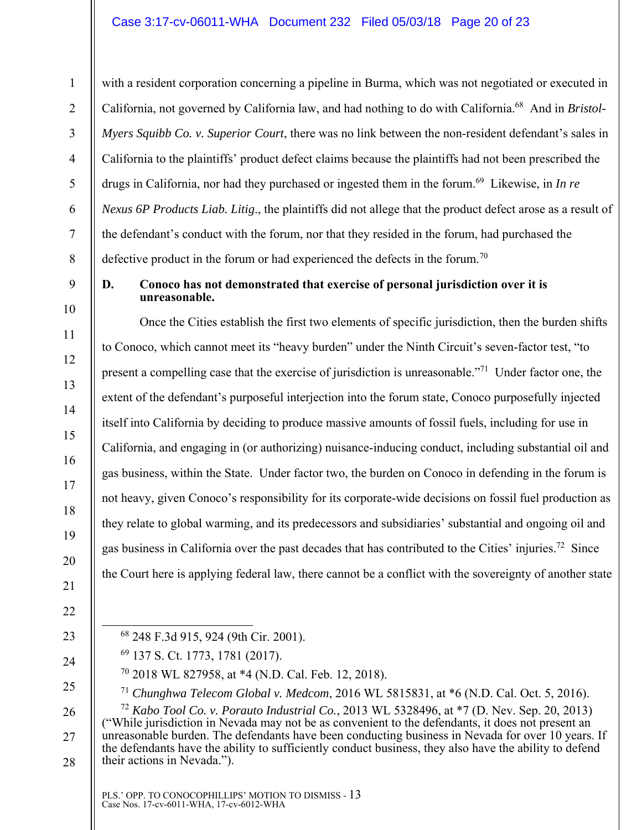with a resident corporation concerning a pipeline in Burma, which was not negotiated or executed in California, not governed by California law, and had nothing to do with California.68 And in *Bristol-Myers Squibb Co. v. Superior Court*, there was no link between the non-resident defendant's sales in California to the plaintiffs' product defect claims because the plaintiffs had not been prescribed the drugs in California, nor had they purchased or ingested them in the forum.<sup>69</sup> Likewise, in *In re Nexus 6P Products Liab. Litig*., the plaintiffs did not allege that the product defect arose as a result of the defendant's conduct with the forum, nor that they resided in the forum, had purchased the defective product in the forum or had experienced the defects in the forum.<sup>70</sup>

## 9

1

2

3

4

5

6

7

8

10

11

12

13

14

15

16

17

18

19

20

#### **D. Conoco has not demonstrated that exercise of personal jurisdiction over it is unreasonable.**

Once the Cities establish the first two elements of specific jurisdiction, then the burden shifts to Conoco, which cannot meet its "heavy burden" under the Ninth Circuit's seven-factor test, "to present a compelling case that the exercise of jurisdiction is unreasonable."71 Under factor one, the extent of the defendant's purposeful interjection into the forum state, Conoco purposefully injected itself into California by deciding to produce massive amounts of fossil fuels, including for use in California, and engaging in (or authorizing) nuisance-inducing conduct, including substantial oil and gas business, within the State. Under factor two, the burden on Conoco in defending in the forum is not heavy, given Conoco's responsibility for its corporate-wide decisions on fossil fuel production as they relate to global warming, and its predecessors and subsidiaries' substantial and ongoing oil and gas business in California over the past decades that has contributed to the Cities' injuries.72 Since the Court here is applying federal law, there cannot be a conflict with the sovereignty of another state

- 21 22
- 23

24

25

- 68 248 F.3d 915, 924 (9th Cir. 2001).
- 69 137 S. Ct. 1773, 1781 (2017).
	- 70 2018 WL 827958, at \*4 (N.D. Cal. Feb. 12, 2018).

<sup>71</sup> *Chunghwa Telecom Global v. Medcom*, 2016 WL 5815831, at \*6 (N.D. Cal. Oct. 5, 2016).

26 27 28 <sup>72</sup> *Kabo Tool Co. v. Porauto Industrial Co.*, 2013 WL 5328496, at \*7 (D. Nev. Sep. 20, 2013) ("While jurisdiction in Nevada may not be as convenient to the defendants, it does not present an unreasonable burden. The defendants have been conducting business in Nevada for over 10 years. If the defendants have the ability to sufficiently conduct business, they also have the ability to defend their actions in Nevada.").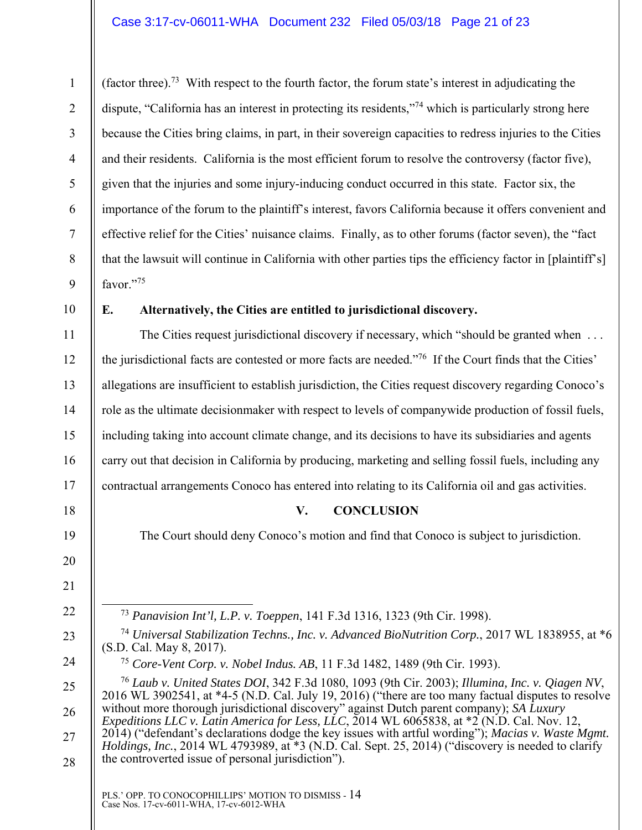(factor three).73 With respect to the fourth factor, the forum state's interest in adjudicating the dispute, "California has an interest in protecting its residents,"<sup>74</sup> which is particularly strong here because the Cities bring claims, in part, in their sovereign capacities to redress injuries to the Cities and their residents. California is the most efficient forum to resolve the controversy (factor five), given that the injuries and some injury-inducing conduct occurred in this state. Factor six, the importance of the forum to the plaintiff's interest, favors California because it offers convenient and effective relief for the Cities' nuisance claims. Finally, as to other forums (factor seven), the "fact that the lawsuit will continue in California with other parties tips the efficiency factor in [plaintiff's] favor."75

10

11

12

13

14

15

16

17

18

19

20

21

22

23

24

1

2

3

4

5

6

7

8

9

#### **E. Alternatively, the Cities are entitled to jurisdictional discovery.**

The Cities request jurisdictional discovery if necessary, which "should be granted when ... the jurisdictional facts are contested or more facts are needed."76 If the Court finds that the Cities' allegations are insufficient to establish jurisdiction, the Cities request discovery regarding Conoco's role as the ultimate decisionmaker with respect to levels of companywide production of fossil fuels, including taking into account climate change, and its decisions to have its subsidiaries and agents carry out that decision in California by producing, marketing and selling fossil fuels, including any contractual arrangements Conoco has entered into relating to its California oil and gas activities.

#### **V. CONCLUSION**

The Court should deny Conoco's motion and find that Conoco is subject to jurisdiction.

73 *Panavision Int'l, L.P. v. Toeppen*, 141 F.3d 1316, 1323 (9th Cir. 1998).

<sup>75</sup> *Core-Vent Corp. v. Nobel Indus. AB*, 11 F.3d 1482, 1489 (9th Cir. 1993).

25 26 27 28 <sup>76</sup> *Laub v. United States DOI*, 342 F.3d 1080, 1093 (9th Cir. 2003); *Illumina, Inc. v. Qiagen NV*, 2016 WL 3902541, at \*4-5 (N.D. Cal. July 19, 2016) ("there are too many factual disputes to resolve without more thorough jurisdictional discovery" against Dutch parent company); *SA Luxury Expeditions LLC v. Latin America for Less, LLC*, 2014 WL 6065838, at \*2 (N.D. Cal. Nov. 12, 2014) ("defendant's declarations dodge the key issues with artful wording"); *Macias v. Waste Mgmt. Holdings, Inc.*, 2014 WL 4793989, at \*3 (N.D. Cal. Sept. 25, 2014) ("discovery is needed to clarify the controverted issue of personal jurisdiction").

<sup>74</sup> *Universal Stabilization Techns., Inc. v. Advanced BioNutrition Corp.*, 2017 WL 1838955, at \*6 (S.D. Cal. May 8, 2017).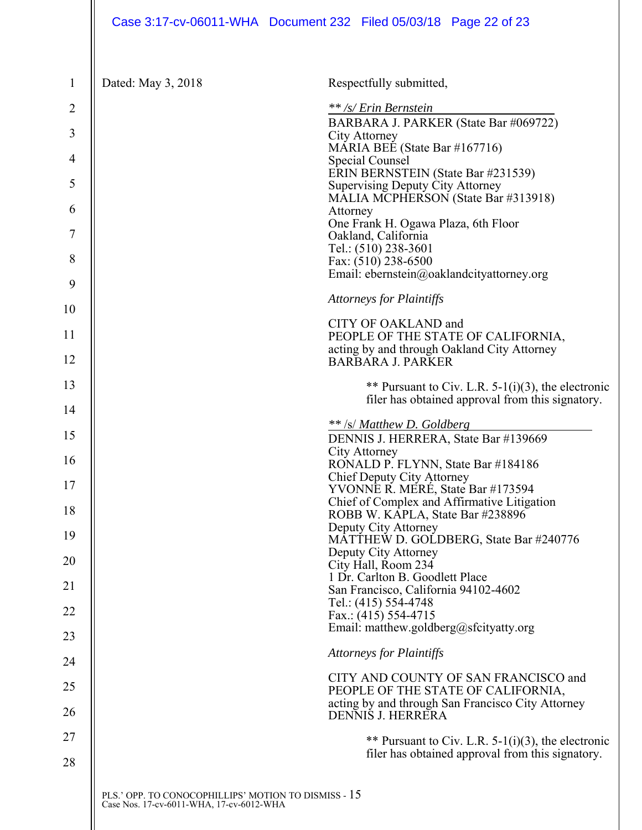| $\mathbf{1}$ | Dated: May 3, 2018                                   | Respectfully submitted,                                                                                |
|--------------|------------------------------------------------------|--------------------------------------------------------------------------------------------------------|
| 2            |                                                      | ** /s/ Erin Bernstein                                                                                  |
| 3            |                                                      | BARBARA J. PARKER (State Bar #069722)<br>City Attorney                                                 |
| 4            |                                                      | MARIA BEE (State Bar #167716)<br>Special Counsel                                                       |
| 5            |                                                      | ERIN BERNSTEIN (State Bar #231539)                                                                     |
|              |                                                      | <b>Supervising Deputy City Attorney</b><br>MALIA MCPHERSON (State Bar #313918)                         |
| 6            |                                                      | Attorney<br>One Frank H. Ogawa Plaza, 6th Floor                                                        |
| 7            |                                                      | Oakland, California<br>Tel.: (510) 238-3601                                                            |
| 8            |                                                      | Fax: (510) 238-6500<br>Email: ebernstein@oaklandcityattorney.org                                       |
| 9            |                                                      |                                                                                                        |
| 10           |                                                      | <b>Attorneys for Plaintiffs</b>                                                                        |
| 11           |                                                      | CITY OF OAKLAND and<br>PEOPLE OF THE STATE OF CALIFORNIA,                                              |
| 12           |                                                      | acting by and through Oakland City Attorney<br><b>BARBARA J. PARKER</b>                                |
| 13           |                                                      | ** Pursuant to Civ. L.R. $5-1(i)(3)$ , the electronic                                                  |
| 14           |                                                      | filer has obtained approval from this signatory.                                                       |
| 15           |                                                      | ** /s/ Matthew D. Goldberg                                                                             |
|              |                                                      | DENNIS J. HERRERA, State Bar #139669<br>City Attorney                                                  |
| 16           |                                                      | RONALD P. FLYNN, State Bar #184186<br>Chief Deputy City Attorney                                       |
| 17           |                                                      | YVONNE R. MERÉ, State Bar #173594<br>Chief of Complex and Affirmative Litigation                       |
| 18           |                                                      | ROBB W. KAPLA, State Bar #238896<br>Deputy City Attorney                                               |
| 19           |                                                      | MATTHEW D. GOLDBERG, State Bar #240776                                                                 |
| 20           |                                                      | Deputy City Attorney<br>City Hall, Room 234                                                            |
| 21           |                                                      | 1 Dr. Carlton B. Goodlett Place<br>San Francisco, California 94102-4602                                |
| 22           |                                                      | Tel.: (415) 554-4748<br>Fax.: $(415)$ 554-4715                                                         |
| 23           |                                                      | Email: matthew.goldberg@sfcityatty.org                                                                 |
| 24           |                                                      | <b>Attorneys for Plaintiffs</b>                                                                        |
| 25           |                                                      | CITY AND COUNTY OF SAN FRANCISCO and                                                                   |
|              |                                                      | PEOPLE OF THE STATE OF CALIFORNIA,<br>acting by and through San Francisco City Attorney                |
| 26           |                                                      | DENNIS J. HERRERA                                                                                      |
| 27           |                                                      | ** Pursuant to Civ. L.R. 5-1(i)(3), the electronic<br>filer has obtained approval from this signatory. |
| 28           |                                                      |                                                                                                        |
|              | PLS.' OPP. TO CONOCOPHILLIPS' MOTION TO DISMISS - 15 |                                                                                                        |
|              | Case Nos. 17-cv-6011-WHA, 17-cv-6012-WHA             |                                                                                                        |
|              |                                                      |                                                                                                        |